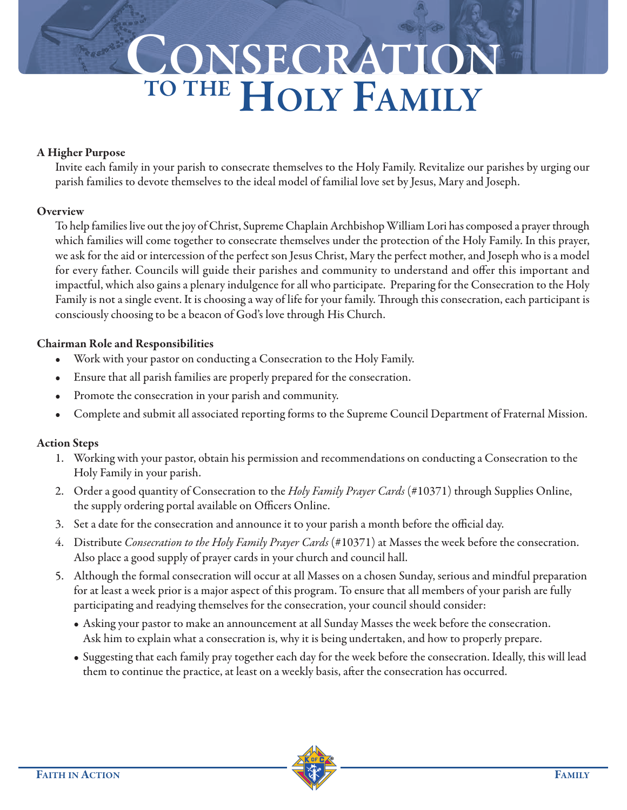# **CONSECRATION TO THE HOLY FAMILY**

### **A Higher Purpose**

Invite each family in your parish to consecrate themselves to the Holy Family. Revitalize our parishes by urging our parish families to devote themselves to the ideal model of familial love set by Jesus, Mary and Joseph.

## **Overview**

To help families live out the joy of Christ, Supreme Chaplain Archbishop William Lori has composed a prayer through which families will come together to consecrate themselves under the protection of the Holy Family. In this prayer, we ask for the aid or intercession of the perfect son Jesus Christ, Mary the perfect mother, and Joseph who is a model for every father. Councils will guide their parishes and community to understand and offer this important and impactful, which also gains a plenary indulgence for all who participate. Preparing for the Consecration to the Holy Family is not a single event. It is choosing a way of life for your family. Through this consecration, each participant is consciously choosing to be a beacon of God's love through His Church.

## **Chairman Role and Responsibilities**

- Work with your pastor on conducting a Consecration to the Holy Family.
- Ensure that all parish families are properly prepared for the consecration.
- Promote the consecration in your parish and community.
- Complete and submit all associated reporting forms to the Supreme Council Department of Fraternal Mission.

## **Action Steps**

- 1. Working with your pastor, obtain his permission and recommendations on conducting a Consecration to the Holy Family in your parish.
- 2. Order a good quantity of Consecration to the *Holy Family Prayer Cards* (#10371) through Supplies Online, the supply ordering portal available on Officers Online.
- 3. Set a date for the consecration and announce it to your parish a month before the official day.
- 4. Distribute *Consecration to the Holy Family Prayer Cards* (#10371) at Masses the week before the consecration. Also place a good supply of prayer cards in your church and council hall.
- 5. Although the formal consecration will occur at all Masses on a chosen Sunday, serious and mindful preparation for at least a week prior is a major aspect of this program. To ensure that all members of your parish are fully participating and readying themselves for the consecration, your council should consider:
	- Asking your pastor to make an announcement at all Sunday Masses the week before the consecration. Ask him to explain what a consecration is, why it is being undertaken, and how to properly prepare.
	- Suggesting that each family pray together each day for the week before the consecration. Ideally, this will lead them to continue the practice, at least on a weekly basis, after the consecration has occurred.